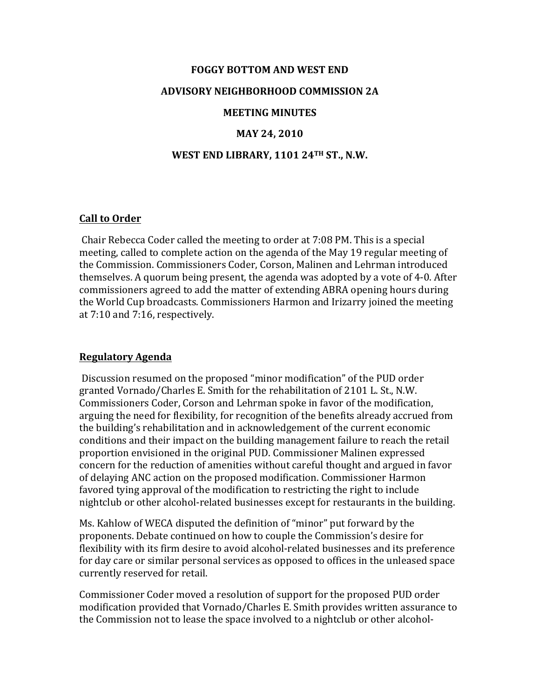# **FOGGY BOTTOM AND WEST END ADVISORY NEIGHBORHOOD COMMISSION 2A MEETING MINUTES**

# **MAY 24, 2010**

### **WEST END LIBRARY, 1101 24TH ST., N.W.**

#### **Call to Order**

Chair Rebecca Coder called the meeting to order at 7:08 PM. This is a special meeting, called to complete action on the agenda of the May 19 regular meeting of the Commission. Commissioners Coder, Corson, Malinen and Lehrman introduced themselves. A quorum being present, the agenda was adopted by a vote of 4-0. After commissioners agreed to add the matter of extending ABRA opening hours during the World Cup broadcasts. Commissioners Harmon and Irizarry joined the meeting at 7:10 and 7:16, respectively.

#### **Regulatory Agenda**

Discussion resumed on the proposed "minor modification" of the PUD order granted Vornado/Charles E. Smith for the rehabilitation of 2101 L. St., N.W. Commissioners Coder, Corson and Lehrman spoke in favor of the modification, arguing the need for flexibility, for recognition of the benefits already accrued from the building's rehabilitation and in acknowledgement of the current economic conditions and their impact on the building management failure to reach the retail proportion envisioned in the original PUD. Commissioner Malinen expressed concern for the reduction of amenities without careful thought and argued in favor of delaying ANC action on the proposed modification. Commissioner Harmon favored tying approval of the modification to restricting the right to include nightclub or other alcohol-related businesses except for restaurants in the building.

Ms. Kahlow of WECA disputed the definition of "minor" put forward by the proponents. Debate continued on how to couple the Commission's desire for flexibility with its firm desire to avoid alcohol-related businesses and its preference for day care or similar personal services as opposed to offices in the unleased space currently reserved for retail.

Commissioner Coder moved a resolution of support for the proposed PUD order modification provided that Vornado/Charles E. Smith provides written assurance to the Commission not to lease the space involved to a nightclub or other alcohol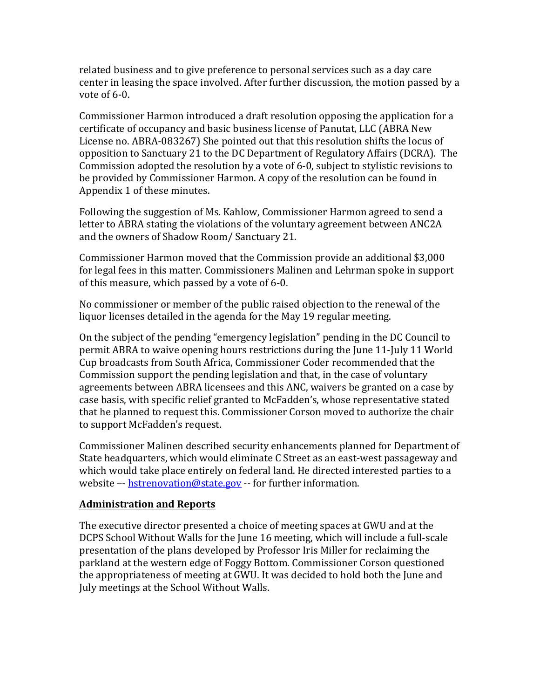related business and to give preference to personal services such as a day care center in leasing the space involved. After further discussion, the motion passed by a vote of  $6-0$ .

Commissioner Harmon introduced a draft resolution opposing the application for a certificate of occupancy and basic business license of Panutat, LLC (ABRA New License no. ABRA-083267) She pointed out that this resolution shifts the locus of opposition to Sanctuary 21 to the DC Department of Regulatory Affairs (DCRA). The Commission adopted the resolution by a vote of  $6-0$ , subject to stylistic revisions to be provided by Commissioner Harmon. A copy of the resolution can be found in Appendix 1 of these minutes.

Following the suggestion of Ms. Kahlow, Commissioner Harmon agreed to send a letter to ABRA stating the violations of the voluntary agreement between ANC2A and the owners of Shadow Room/ Sanctuary 21.

Commissioner Harmon moved that the Commission provide an additional \$3,000 for legal fees in this matter. Commissioners Malinen and Lehrman spoke in support of this measure, which passed by a vote of  $6-0$ .

No commissioner or member of the public raised objection to the renewal of the liquor licenses detailed in the agenda for the May 19 regular meeting.

On the subject of the pending "emergency legislation" pending in the DC Council to permit ABRA to waive opening hours restrictions during the June 11-July 11 World Cup broadcasts from South Africa, Commissioner Coder recommended that the Commission support the pending legislation and that, in the case of voluntary agreements between ABRA licensees and this ANC, waivers be granted on a case by case basis, with specific relief granted to McFadden's, whose representative stated that he planned to request this. Commissioner Corson moved to authorize the chair to support McFadden's request.

Commissioner Malinen described security enhancements planned for Department of State headquarters, which would eliminate C Street as an east-west passageway and which would take place entirely on federal land. He directed interested parties to a website  $-$  hstrenovation@state.gov  $-$  for further information.

## **Administration and Reports**

The executive director presented a choice of meeting spaces at GWU and at the DCPS School Without Walls for the June 16 meeting, which will include a full-scale presentation of the plans developed by Professor Iris Miller for reclaiming the parkland at the western edge of Foggy Bottom. Commissioner Corson questioned the appropriateness of meeting at GWU. It was decided to hold both the June and July meetings at the School Without Walls.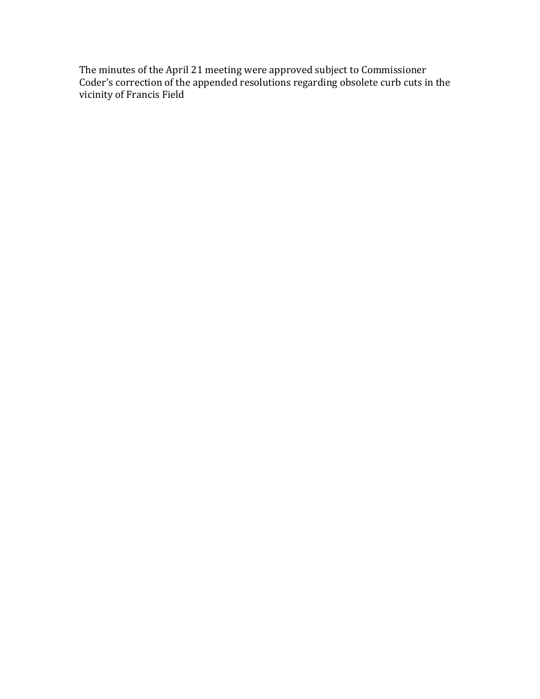The minutes of the April 21 meeting were approved subject to Commissioner Coder's correction of the appended resolutions regarding obsolete curb cuts in the vicinity of Francis Field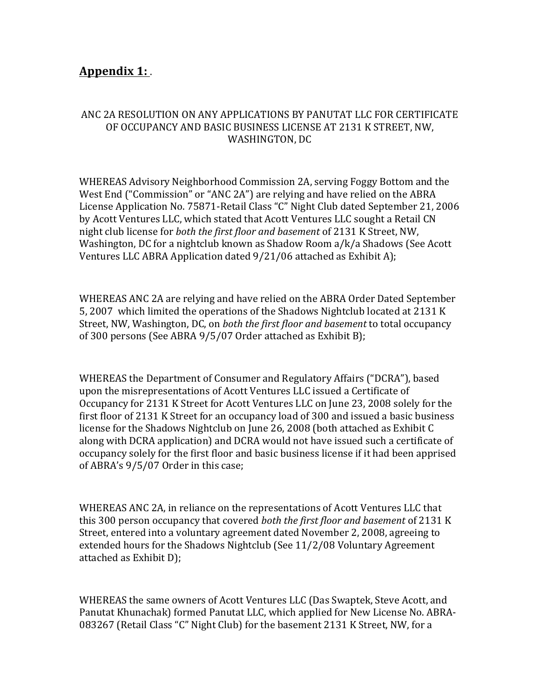# **Appendix 1:**

# ANC 2A RESOLUTION ON ANY APPLICATIONS BY PANUTAT LLC FOR CERTIFICATE OF OCCUPANCY AND BASIC BUSINESS LICENSE AT 2131 K STREET, NW, WASHINGTON, DC

WHEREAS Advisory Neighborhood Commission 2A, serving Foggy Bottom and the West End ("Commission" or "ANC 2A") are relying and have relied on the ABRA License Application No. 75871-Retail Class "C" Night Club dated September 21, 2006 by Acott Ventures LLC, which stated that Acott Ventures LLC sought a Retail CN night club license for *both the first floor and basement* of 2131 K Street, NW, Washington, DC for a nightclub known as Shadow Room  $a/k/a$  Shadows (See Acott Ventures LLC ABRA Application dated  $9/21/06$  attached as Exhibit A);

WHEREAS ANC 2A are relying and have relied on the ABRA Order Dated September 5, 2007 which limited the operations of the Shadows Nightclub located at 2131 K Street, NW, Washington, DC, on *both the first floor and basement* to total occupancy of 300 persons (See ABRA  $9/5/07$  Order attached as Exhibit B);

WHEREAS the Department of Consumer and Regulatory Affairs ("DCRA"), based upon the misrepresentations of Acott Ventures LLC issued a Certificate of Occupancy for 2131 K Street for Acott Ventures LLC on June 23, 2008 solely for the first floor of 2131 K Street for an occupancy load of 300 and issued a basic business license for the Shadows Nightclub on June 26, 2008 (both attached as Exhibit C along with DCRA application) and DCRA would not have issued such a certificate of occupancy solely for the first floor and basic business license if it had been apprised of ABRA's 9/5/07 Order in this case;

WHEREAS ANC 2A, in reliance on the representations of Acott Ventures LLC that this 300 person occupancy that covered *both the first floor and basement* of 2131 K Street, entered into a voluntary agreement dated November 2, 2008, agreeing to extended hours for the Shadows Nightclub (See 11/2/08 Voluntary Agreement attached as Exhibit D);

WHEREAS the same owners of Acott Ventures LLC (Das Swaptek, Steve Acott, and Panutat Khunachak) formed Panutat LLC, which applied for New License No. ABRA-083267 (Retail Class "C" Night Club) for the basement 2131 K Street, NW, for a